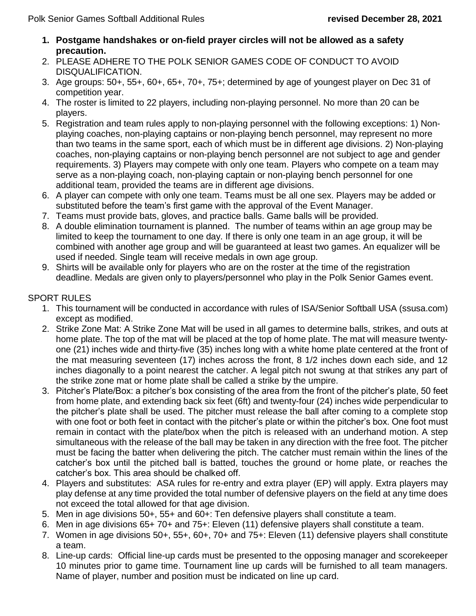- **1. Postgame handshakes or on-field prayer circles will not be allowed as a safety precaution.**
- 2. PLEASE ADHERE TO THE POLK SENIOR GAMES CODE OF CONDUCT TO AVOID DISQUALIFICATION.
- 3. Age groups: 50+, 55+, 60+, 65+, 70+, 75+; determined by age of youngest player on Dec 31 of competition year.
- 4. The roster is limited to 22 players, including non-playing personnel. No more than 20 can be players.
- 5. Registration and team rules apply to non-playing personnel with the following exceptions: 1) Nonplaying coaches, non-playing captains or non-playing bench personnel, may represent no more than two teams in the same sport, each of which must be in different age divisions. 2) Non-playing coaches, non-playing captains or non-playing bench personnel are not subject to age and gender requirements. 3) Players may compete with only one team. Players who compete on a team may serve as a non-playing coach, non-playing captain or non-playing bench personnel for one additional team, provided the teams are in different age divisions.
- 6. A player can compete with only one team. Teams must be all one sex. Players may be added or substituted before the team's first game with the approval of the Event Manager.
- 7. Teams must provide bats, gloves, and practice balls. Game balls will be provided.
- 8. A double elimination tournament is planned. The number of teams within an age group may be limited to keep the tournament to one day. If there is only one team in an age group, it will be combined with another age group and will be guaranteed at least two games. An equalizer will be used if needed. Single team will receive medals in own age group.
- 9. Shirts will be available only for players who are on the roster at the time of the registration deadline. Medals are given only to players/personnel who play in the Polk Senior Games event.

## SPORT RULES

- 1. This tournament will be conducted in accordance with rules of ISA/Senior Softball USA (ssusa.com) except as modified.
- 2. Strike Zone Mat: A Strike Zone Mat will be used in all games to determine balls, strikes, and outs at home plate. The top of the mat will be placed at the top of home plate. The mat will measure twentyone (21) inches wide and thirty-five (35) inches long with a white home plate centered at the front of the mat measuring seventeen (17) inches across the front, 8 1/2 inches down each side, and 12 inches diagonally to a point nearest the catcher. A legal pitch not swung at that strikes any part of the strike zone mat or home plate shall be called a strike by the umpire.
- 3. Pitcher's Plate/Box: a pitcher's box consisting of the area from the front of the pitcher's plate, 50 feet from home plate, and extending back six feet (6ft) and twenty-four (24) inches wide perpendicular to the pitcher's plate shall be used. The pitcher must release the ball after coming to a complete stop with one foot or both feet in contact with the pitcher's plate or within the pitcher's box. One foot must remain in contact with the plate/box when the pitch is released with an underhand motion. A step simultaneous with the release of the ball may be taken in any direction with the free foot. The pitcher must be facing the batter when delivering the pitch. The catcher must remain within the lines of the catcher's box until the pitched ball is batted, touches the ground or home plate, or reaches the catcher's box. This area should be chalked off.
- 4. Players and substitutes: ASA rules for re-entry and extra player (EP) will apply. Extra players may play defense at any time provided the total number of defensive players on the field at any time does not exceed the total allowed for that age division.
- 5. Men in age divisions 50+, 55+ and 60+: Ten defensive players shall constitute a team.
- 6. Men in age divisions 65+ 70+ and 75+: Eleven (11) defensive players shall constitute a team.
- 7. Women in age divisions 50+, 55+, 60+, 70+ and 75+: Eleven (11) defensive players shall constitute a team.
- 8. Line-up cards: Official line-up cards must be presented to the opposing manager and scorekeeper 10 minutes prior to game time. Tournament line up cards will be furnished to all team managers. Name of player, number and position must be indicated on line up card.